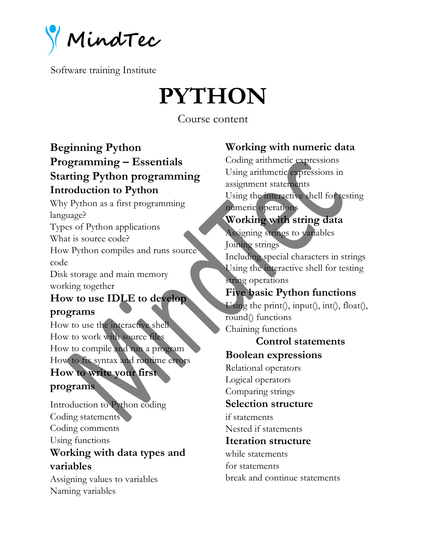**MindTec**

# **PYTHON**

Course content

## **Beginning Python Programming – Essentials Starting Python programming Introduction to Python**

Why Python as a first programming language? Types of Python applications What is source code? How Python compiles and runs source code Disk storage and main memory working together **How to use IDLE to develop programs** How to use the interactive shell How to work with source files How to compile and run a program

How to fix syntax and runtime errors **How to write your first** 

#### **programs**

Introduction to Python coding Coding statements Coding comments Using functions **Working with data types and variables**

Assigning values to variables Naming variables

## **Working with numeric data**

Coding arithmetic expressions Using arithmetic expressions in assignment statements Using the interactive shell for testing numeric operations **Working with string data** Assigning strings to variables Joining strings Including special characters in strings Using the interactive shell for testing string operations **Five basic Python functions** Using the print(), input(), int(), float(), round() functions Chaining functions **Control statements Boolean expressions** Relational operators Logical operators Comparing strings **Selection structure** if statements Nested if statements **Iteration structure** while statements for statements break and continue statements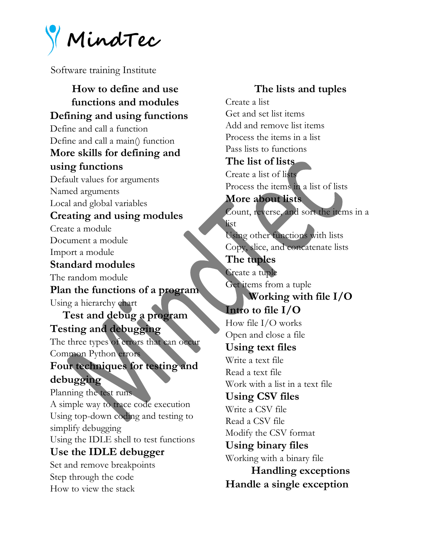**MindTec**

**How to define and use functions and modules Defining and using functions** Define and call a function Define and call a main() function **More skills for defining and using functions** Default values for arguments Named arguments Local and global variables **Creating and using modules** Create a module Document a module Import a module **Standard modules** The random module **Plan the functions of a program** Using a hierarchy chart **Test and debug a program Testing and debugging** The three types of errors that can occur Common Python errors **Four techniques for testing and debugging** Planning the test runs A simple way to trace code execution Using top-down coding and testing to simplify debugging Using the IDLE shell to test functions **Use the IDLE debugger** Set and remove breakpoints Step through the code How to view the stack

**The lists and tuples** Create a list Get and set list items Add and remove list items Process the items in a list Pass lists to functions **The list of lists** Create a list of lists Process the items in a list of lists **More about lists** Count, reverse, and sort the items in a list Using other functions with lists Copy, slice, and concatenate lists **The tuples** Create a tuple Get items from a tuple **Working with file I/O Intro to file I/O** How file I/O works Open and close a file **Using text files** Write a text file Read a text file Work with a list in a text file **Using CSV files** Write a CSV file Read a CSV file Modify the CSV format **Using binary files** Working with a binary file **Handling exceptions Handle a single exception**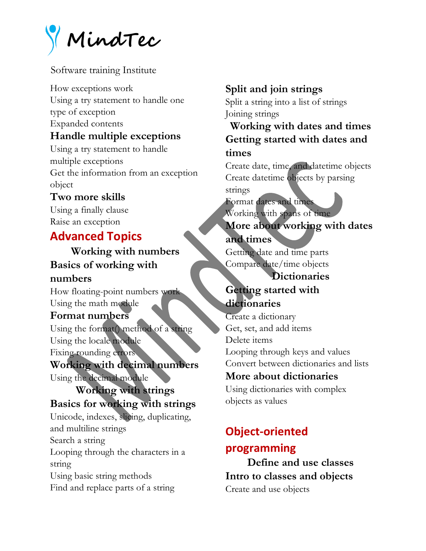**MindTec**

How exceptions work Using a try statement to handle one type of exception Expanded contents **Handle multiple exceptions** Using a try statement to handle multiple exceptions Get the information from an exception object

#### **Two more skills**

Using a finally clause Raise an exception

## **Advanced Topics**

**Working with numbers Basics of working with numbers**

How floating-point numbers work Using the math module

#### **Format numbers**

Using the format() method of a string Using the locale module Fixing rounding errors

#### **Working with decimal numbers**

Using the decimal module

#### **Working with strings Basics for working with strings**

Unicode, indexes, slicing, duplicating, and multiline strings Search a string Looping through the characters in a string Using basic string methods Find and replace parts of a string

## **Split and join strings**

Split a string into a list of strings Joining strings

## **Working with dates and times Getting started with dates and times**

Create date, time, and datetime objects Create datetime objects by parsing strings

#### Format dates and times Working with spans of time **More about working with dates and times**

Getting date and time parts Compare date/time objects

#### **Dictionaries**

## **Getting started with dictionaries**

Create a dictionary Get, set, and add items Delete items Looping through keys and values Convert between dictionaries and lists **More about dictionaries**

Using dictionaries with complex objects as values

# **Object-oriented programming**

**Define and use classes Intro to classes and objects** Create and use objects